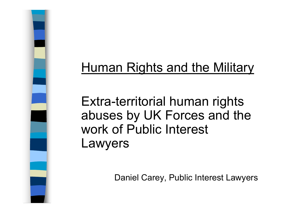# Human Rights and the Military

Extra-territorial human rights abuses by UK Forces and the work of Public Interest Lawyers

Daniel Carey, Public Interest Lawyers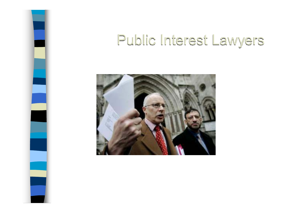# Public Interest Lawyers

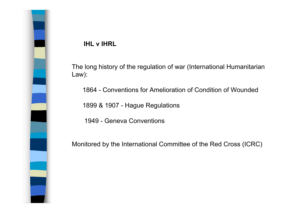

### **IHL v IHRL**

The long history of the regulation of war (International Humanitarian Law):

1864 - Conventions for Amelioration of Condition of Wounded

1899 & 1907 - Hague Regulations

1949 - Geneva Conventions

Monitored by the International Committee of the Red Cross (ICRC)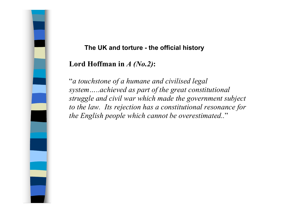#### **The UK and torture - the official history**

### **Lord Hoffman in** *A (No.2)***:**

"*a touchstone of a humane and civilised legal system…..achieved as part of the great constitutional struggle and civil war which made the government subject to the law. Its rejection has a constitutional resonance for the English people which cannot be overestimated..*"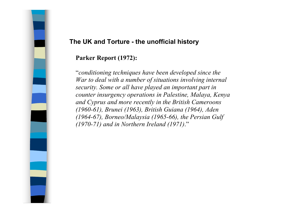#### **The UK and Torture - the unofficial history**

#### **Parker Report (1972):**

"*conditioning techniques have been developed since the War to deal with a number of situations involving internal security. Some or all have played an important part in counter insurgency operations in Palestine, Malaya, Kenya and Cyprus and more recently in the British Cameroons (1960-61), Brunei (1963), British Guiana (1964), Aden (1964-67), Borneo/Malaysia (1965-66), the Persian Gulf (1970-71) and in Northern Ireland (1971)*."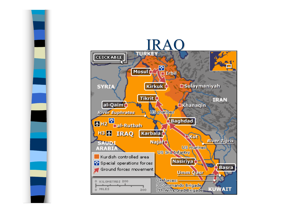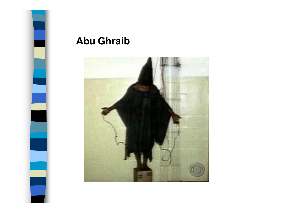

### **Abu Ghraib**

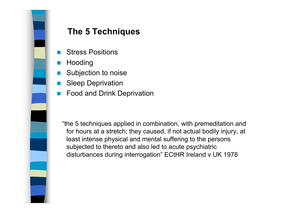

### **The 5 Techniques**

- $\Box$ Stress Positions
- Hooding
- $\mathbb{R}^n$ Subjection to noise
- Sleep Deprivation
- $\Box$ Food and Drink Deprivation

"the 5 techniques applied in combination, with premeditation and for hours at a stretch; they caused, if not actual bodily injury, at least intense physical and mental suffering to the persons subjected to thereto and also led to acute psychiatric disturbances during interrogation" ECtHR Ireland v UK 1978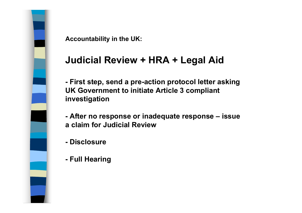**Accountability in the UK:** 

### **Judicial Review + HRA + Legal Aid**

**- First step, send a pre-action protocol letter asking UK Government to initiate Article 3 compliant investigation** 

**- After no response or inadequate response – issue a claim for Judicial Review**

**- Disclosure**

**- Full Hearing**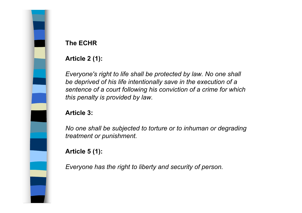#### **The ECHR**

### **Article 2 (1):**

*Everyone's right to life shall be protected by law. No one shall be deprived of his life intentionally save in the execution of a sentence of a court following his conviction of a crime for which this penalty is provided by law.*

#### **Article 3:**

*No one shall be subjected to torture or to inhuman or degrading treatment or punishment.*

**Article 5 (1):**

*Everyone has the right to liberty and security of person.*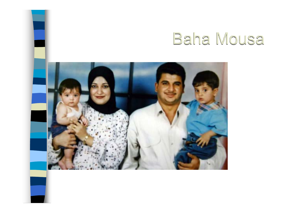# Baha Mousa

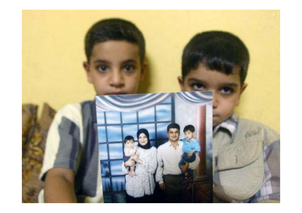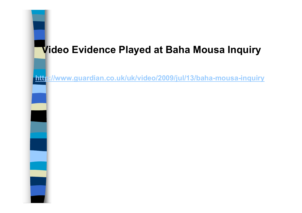### **Video Evidence Played at Baha Mousa Inquiry**

**http://www.guardian.co.uk/uk/video/2009/jul/13/baha-mousa-inquiry**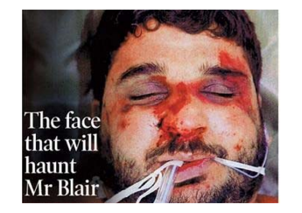The face that will **naunt Mr Blair**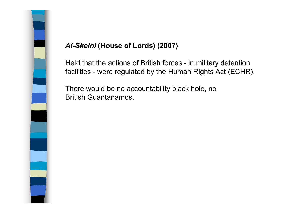### *Al-Skeini* **(House of Lords) (2007)**

Held that the actions of British forces - in military detention facilities - were regulated by the Human Rights Act (ECHR).

There would be no accountability black hole, no British Guantanamos.